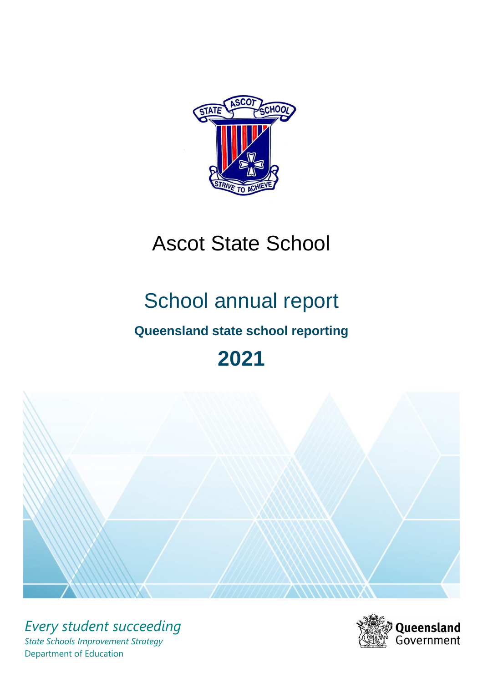

# Ascot State School

# School annual report

# **Queensland state school reporting**

# **2021**



*Every student succeeding State Schools Improvement Strategy* Department of Education

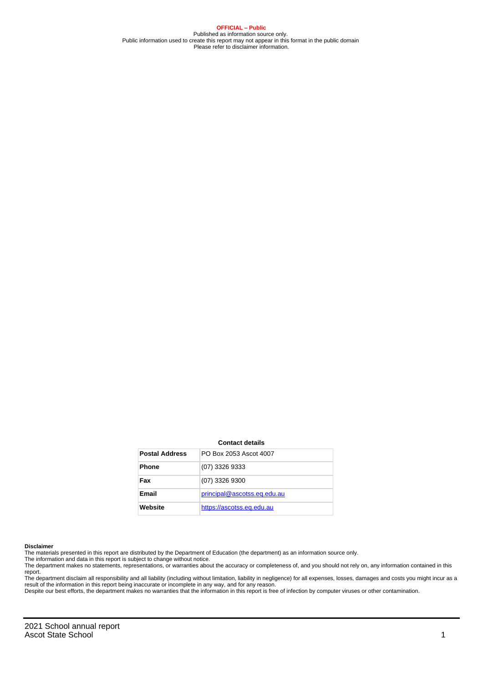**OFFICIAL – Public** Published as information source only. Public information used to create this report may not appear in this format in the public domain Please refer to disclaimer information.

#### **Contact details**

| <b>Postal Address</b> | PO Box 2053 Ascot 4007      |
|-----------------------|-----------------------------|
| <b>Phone</b>          | (07) 3326 9333              |
| Fax                   | (07) 3326 9300              |
| Email                 | principal@ascotss.eq.edu.au |
| Website               | https://ascotss.eq.edu.au   |

#### **Disclaimer**

The materials presented in this report are distributed by the Department of Education (the department) as an information source only.

The information and data in this report is subject to change without notice.<br>The department makes no statements, representations, or warranties about the accuracy or completeness of, and you should not rely on, any informa report.

The department disclaim all responsibility and all liability (including without limitation, liability in negligence) for all expenses, losses, damages and costs you might incur as a result of the information in this report being inaccurate or incomplete in any way, and for any reason.

Despite our best efforts, the department makes no warranties that the information in this report is free of infection by computer viruses or other contamination.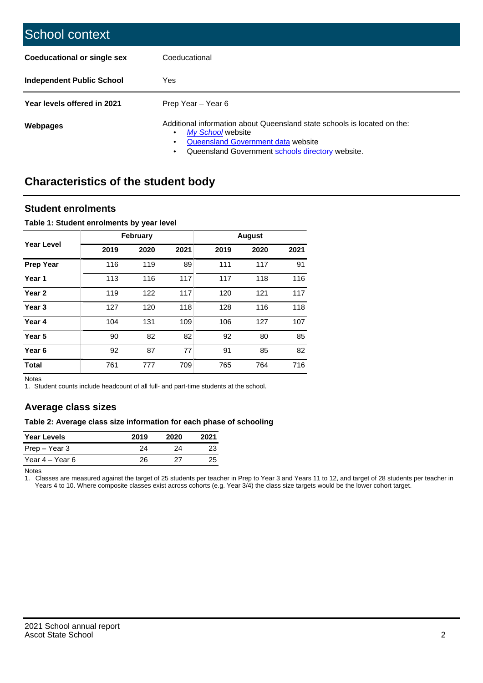| School context                   |                                                                                                                                                                                              |
|----------------------------------|----------------------------------------------------------------------------------------------------------------------------------------------------------------------------------------------|
| Coeducational or single sex      | Coeducational                                                                                                                                                                                |
| <b>Independent Public School</b> | Yes                                                                                                                                                                                          |
| Year levels offered in 2021      | Prep Year - Year 6                                                                                                                                                                           |
| Webpages                         | Additional information about Queensland state schools is located on the:<br>My School website<br>Queensland Government data website<br>Queensland Government schools directory website.<br>٠ |

# **Characteristics of the student body**

### **Student enrolments**

#### **Table 1: Student enrolments by year level**

|                   |      | <b>February</b> |      |      | <b>August</b> |      |
|-------------------|------|-----------------|------|------|---------------|------|
| Year Level        | 2019 | 2020            | 2021 | 2019 | 2020          | 2021 |
| Prep Year         | 116  | 119             | 89   | 111  | 117           | 91   |
| Year 1            | 113  | 116             | 117  | 117  | 118           | 116  |
| Year 2            | 119  | 122             | 117  | 120  | 121           | 117  |
| Year 3            | 127  | 120             | 118  | 128  | 116           | 118  |
| Year 4            | 104  | 131             | 109  | 106  | 127           | 107  |
| Year 5            | 90   | 82              | 82   | 92   | 80            | 85   |
| Year <sub>6</sub> | 92   | 87              | 77   | 91   | 85            | 82   |
| <b>Total</b>      | 761  | 777             | 709  | 765  | 764           | 716  |

Notes

1. Student counts include headcount of all full- and part-time students at the school.

## **Average class sizes**

#### **Table 2: Average class size information for each phase of schooling**

| <b>Year Levels</b> | 2019 | 2020 | 2021 |
|--------------------|------|------|------|
| Prep – Year 3      | 24   | 24   | 23   |
| Year 4 – Year 6    | 26   | 27   | 25   |

Notes

1. Classes are measured against the target of 25 students per teacher in Prep to Year 3 and Years 11 to 12, and target of 28 students per teacher in Years 4 to 10. Where composite classes exist across cohorts (e.g. Year 3/4) the class size targets would be the lower cohort target.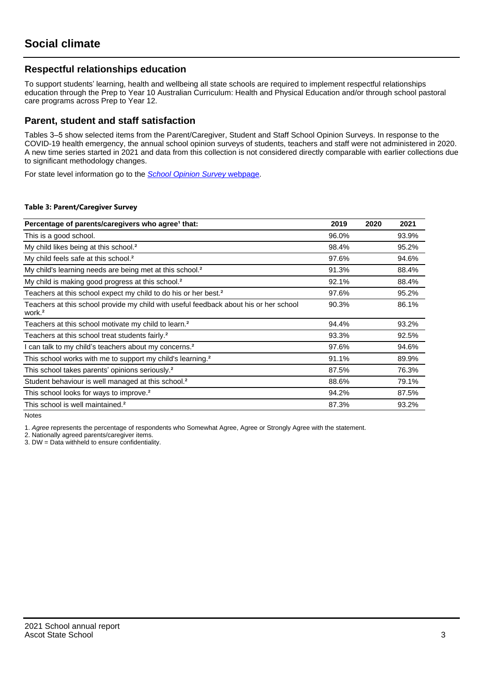## **Respectful relationships education**

To support students' learning, health and wellbeing all state schools are required to implement respectful relationships education through the Prep to Year 10 Australian Curriculum: Health and Physical Education and/or through school pastoral care programs across Prep to Year 12.

### **Parent, student and staff satisfaction**

Tables 3–5 show selected items from the Parent/Caregiver, Student and Staff School Opinion Surveys. In response to the COVID-19 health emergency, the annual school opinion surveys of students, teachers and staff were not administered in 2020. A new time series started in 2021 and data from this collection is not considered directly comparable with earlier collections due to significant methodology changes.

For state level information go to the **[School Opinion Survey](https://qed.qld.gov.au/publications/reports/statistics/schooling/schools/schoolopinionsurvey) webpage**.

#### **Table 3: Parent/Caregiver Survey**

| Percentage of parents/caregivers who agree <sup>1</sup> that:                                               | 2019  | 2020 | 2021  |
|-------------------------------------------------------------------------------------------------------------|-------|------|-------|
| This is a good school.                                                                                      | 96.0% |      | 93.9% |
| My child likes being at this school. <sup>2</sup>                                                           | 98.4% |      | 95.2% |
| My child feels safe at this school. <sup>2</sup>                                                            | 97.6% |      | 94.6% |
| My child's learning needs are being met at this school. <sup>2</sup>                                        | 91.3% |      | 88.4% |
| My child is making good progress at this school. <sup>2</sup>                                               | 92.1% |      | 88.4% |
| Teachers at this school expect my child to do his or her best. <sup>2</sup>                                 | 97.6% |      | 95.2% |
| Teachers at this school provide my child with useful feedback about his or her school<br>work. <sup>2</sup> | 90.3% |      | 86.1% |
| Teachers at this school motivate my child to learn. <sup>2</sup>                                            | 94.4% |      | 93.2% |
| Teachers at this school treat students fairly. <sup>2</sup>                                                 | 93.3% |      | 92.5% |
| can talk to my child's teachers about my concerns. <sup>2</sup>                                             | 97.6% |      | 94.6% |
| This school works with me to support my child's learning. <sup>2</sup>                                      | 91.1% |      | 89.9% |
| This school takes parents' opinions seriously. <sup>2</sup>                                                 | 87.5% |      | 76.3% |
| Student behaviour is well managed at this school. <sup>2</sup>                                              | 88.6% |      | 79.1% |
| This school looks for ways to improve. <sup>2</sup>                                                         | 94.2% |      | 87.5% |
| This school is well maintained. <sup>2</sup>                                                                | 87.3% |      | 93.2% |

Notes

1. Agree represents the percentage of respondents who Somewhat Agree, Agree or Strongly Agree with the statement.

2. Nationally agreed parents/caregiver items.

3. DW = Data withheld to ensure confidentiality.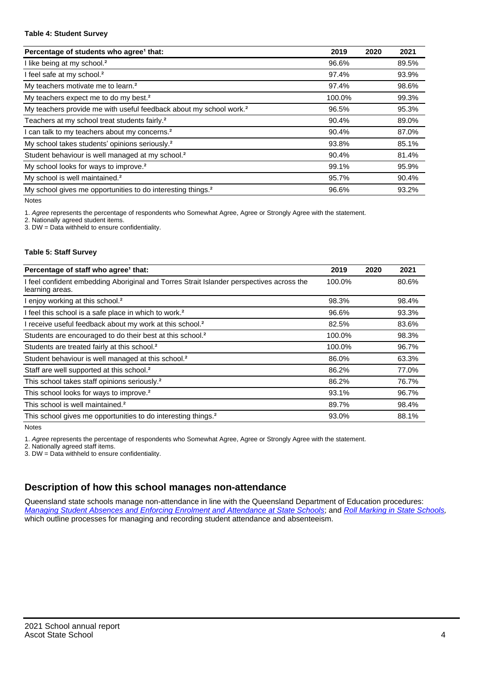#### **Table 4: Student Survey**

| Percentage of students who agree <sup>1</sup> that:                            | 2019   | 2020 | 2021  |
|--------------------------------------------------------------------------------|--------|------|-------|
| I like being at my school. <sup>2</sup>                                        | 96.6%  |      | 89.5% |
| I feel safe at my school. <sup>2</sup>                                         | 97.4%  |      | 93.9% |
| My teachers motivate me to learn. <sup>2</sup>                                 | 97.4%  |      | 98.6% |
| My teachers expect me to do my best. <sup>2</sup>                              | 100.0% |      | 99.3% |
| My teachers provide me with useful feedback about my school work. <sup>2</sup> | 96.5%  |      | 95.3% |
| Teachers at my school treat students fairly. <sup>2</sup>                      | 90.4%  |      | 89.0% |
| I can talk to my teachers about my concerns. <sup>2</sup>                      | 90.4%  |      | 87.0% |
| My school takes students' opinions seriously. <sup>2</sup>                     | 93.8%  |      | 85.1% |
| Student behaviour is well managed at my school. <sup>2</sup>                   | 90.4%  |      | 81.4% |
| My school looks for ways to improve. <sup>2</sup>                              | 99.1%  |      | 95.9% |
| My school is well maintained. <sup>2</sup>                                     | 95.7%  |      | 90.4% |
| My school gives me opportunities to do interesting things. <sup>2</sup>        | 96.6%  |      | 93.2% |

Notes

1. Agree represents the percentage of respondents who Somewhat Agree, Agree or Strongly Agree with the statement.

2. Nationally agreed student items.

3. DW = Data withheld to ensure confidentiality.

#### **Table 5: Staff Survey**

| Percentage of staff who agree <sup>1</sup> that:                                                            | 2019   | 2020 | 2021  |
|-------------------------------------------------------------------------------------------------------------|--------|------|-------|
| I feel confident embedding Aboriginal and Torres Strait Islander perspectives across the<br>learning areas. | 100.0% |      | 80.6% |
| I enjoy working at this school. <sup>2</sup>                                                                | 98.3%  |      | 98.4% |
| I feel this school is a safe place in which to work. <sup>2</sup>                                           | 96.6%  |      | 93.3% |
| I receive useful feedback about my work at this school. <sup>2</sup>                                        | 82.5%  |      | 83.6% |
| Students are encouraged to do their best at this school. <sup>2</sup>                                       | 100.0% |      | 98.3% |
| Students are treated fairly at this school. <sup>2</sup>                                                    | 100.0% |      | 96.7% |
| Student behaviour is well managed at this school. <sup>2</sup>                                              | 86.0%  |      | 63.3% |
| Staff are well supported at this school. <sup>2</sup>                                                       | 86.2%  |      | 77.0% |
| This school takes staff opinions seriously. <sup>2</sup>                                                    | 86.2%  |      | 76.7% |
| This school looks for ways to improve. <sup>2</sup>                                                         | 93.1%  |      | 96.7% |
| This school is well maintained. <sup>2</sup>                                                                | 89.7%  |      | 98.4% |
| This school gives me opportunities to do interesting things. <sup>2</sup>                                   | 93.0%  |      | 88.1% |

Notes

1. Agree represents the percentage of respondents who Somewhat Agree, Agree or Strongly Agree with the statement.

2. Nationally agreed staff items.

3. DW = Data withheld to ensure confidentiality.

## **Description of how this school manages non-attendance**

Queensland state schools manage non-attendance in line with the Queensland Department of Education procedures: [Managing Student Absences and Enforcing Enrolment and Attendance at State Schools](https://ppr.qed.qld.gov.au/pp/managing-student-absences-and-enforcing-enrolment-and-attendance-at-state-schools-procedure); and [Roll Marking in State Schools,](https://ppr.qed.qld.gov.au/pp/roll-marking-in-state-schools-procedure) which outline processes for managing and recording student attendance and absenteeism.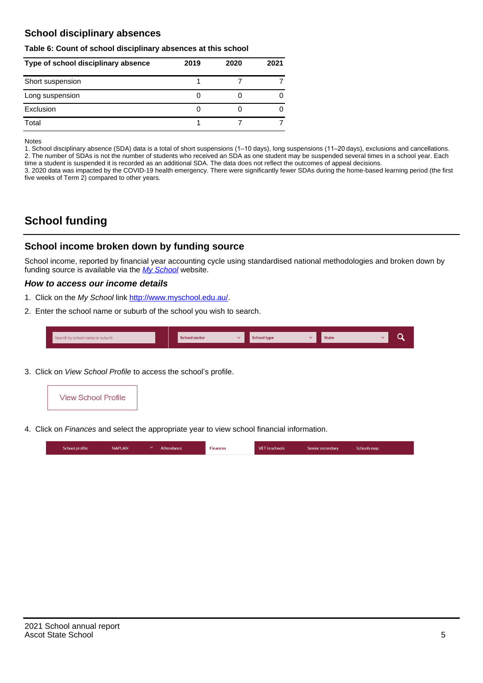## **School disciplinary absences**

#### **Table 6: Count of school disciplinary absences at this school**

| Type of school disciplinary absence | 2019 | 2020 | 2021 |
|-------------------------------------|------|------|------|
| Short suspension                    |      |      |      |
| Long suspension                     |      |      |      |
| Exclusion                           |      |      |      |
| Total                               |      |      |      |

Notes

1. School disciplinary absence (SDA) data is a total of short suspensions (1–10 days), long suspensions (11–20 days), exclusions and cancellations. 2. The number of SDAs is not the number of students who received an SDA as one student may be suspended several times in a school year. Each time a student is suspended it is recorded as an additional SDA. The data does not reflect the outcomes of appeal decisions.

3. 2020 data was impacted by the COVID-19 health emergency. There were significantly fewer SDAs during the home-based learning period (the first five weeks of Term 2) compared to other years.

# **School funding**

## **School income broken down by funding source**

School income, reported by financial year accounting cycle using standardised national methodologies and broken down by funding source is available via the  $My$  School website.

#### **How to access our income details**

- 1. Click on the My School link <http://www.myschool.edu.au/>.
- 2. Enter the school name or suburb of the school you wish to search.

|  | Search by school name or suburb |  | <b>School sector</b> |  | $\sim$ and $\sim$ represents the set of $\sim$ | <b>State</b> |  |  |  |
|--|---------------------------------|--|----------------------|--|------------------------------------------------|--------------|--|--|--|
|--|---------------------------------|--|----------------------|--|------------------------------------------------|--------------|--|--|--|

3. Click on View School Profile to access the school's profile.



4. Click on Finances and select the appropriate year to view school financial information.

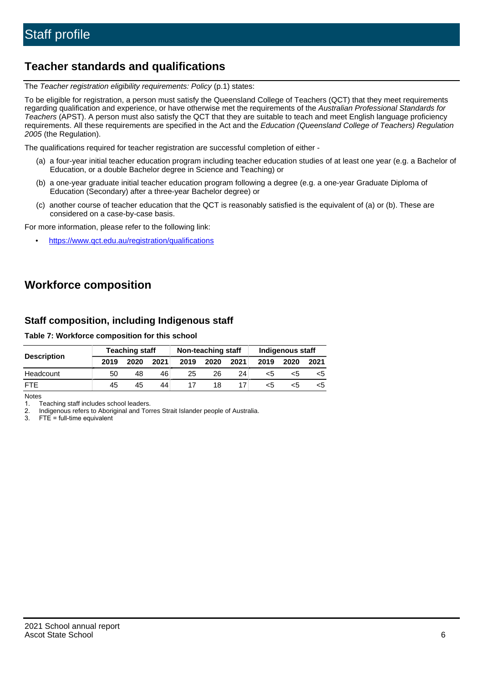# **Teacher standards and qualifications**

The Teacher registration eligibility requirements: Policy (p.1) states:

To be eligible for registration, a person must satisfy the Queensland College of Teachers (QCT) that they meet requirements regarding qualification and experience, or have otherwise met the requirements of the Australian Professional Standards for Teachers (APST). A person must also satisfy the QCT that they are suitable to teach and meet English language proficiency requirements. All these requirements are specified in the Act and the Education (Queensland College of Teachers) Regulation 2005 (the Regulation).

The qualifications required for teacher registration are successful completion of either -

- (a) a four-year initial teacher education program including teacher education studies of at least one year (e.g. a Bachelor of Education, or a double Bachelor degree in Science and Teaching) or
- (b) a one-year graduate initial teacher education program following a degree (e.g. a one-year Graduate Diploma of Education (Secondary) after a three-year Bachelor degree) or
- (c) another course of teacher education that the QCT is reasonably satisfied is the equivalent of (a) or (b). These are considered on a case-by-case basis.

For more information, please refer to the following link:

• <https://www.qct.edu.au/registration/qualifications>

# **Workforce composition**

## **Staff composition, including Indigenous staff**

#### **Table 7: Workforce composition for this school**

|                    |      | <b>Teaching staff</b> |      | Non-teaching staff |      |                 | Indigenous staff |      |      |  |
|--------------------|------|-----------------------|------|--------------------|------|-----------------|------------------|------|------|--|
| <b>Description</b> | 2019 | 2020                  | 2021 | 2019               | 2020 | 2021            | 2019             | 2020 | 2021 |  |
| Headcount          | 50   | 48                    | 46   | 25                 | 26   | 24 <sub>1</sub> | <5               | <5   |      |  |
| <b>FTF</b>         | 45   | 45                    | 44   |                    | 18   |                 | <5               | ה>   |      |  |

Notes

1. Teaching staff includes school leaders.

2. Indigenous refers to Aboriginal and Torres Strait Islander people of Australia.

3. FTE = full-time equivalent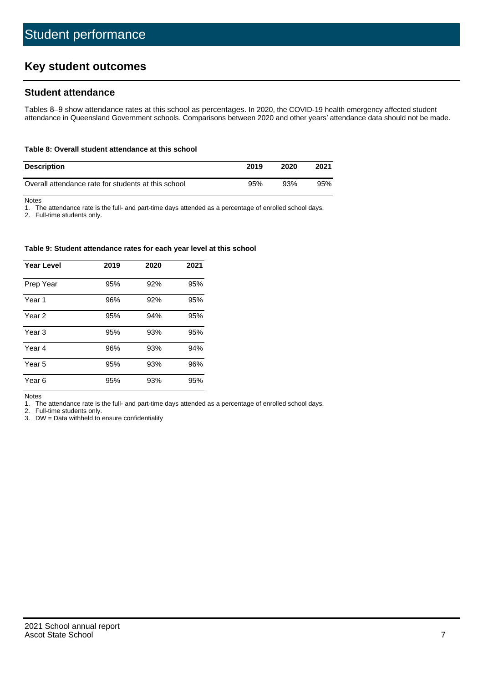# **Key student outcomes**

## **Student attendance**

Tables 8–9 show attendance rates at this school as percentages. In 2020, the COVID-19 health emergency affected student attendance in Queensland Government schools. Comparisons between 2020 and other years' attendance data should not be made.

#### **Table 8: Overall student attendance at this school**

| <b>Description</b>                                  | 2019 | 2020 | 2021 |
|-----------------------------------------------------|------|------|------|
| Overall attendance rate for students at this school | 95%  | 93%  | 95%  |

Notes

1. The attendance rate is the full- and part-time days attended as a percentage of enrolled school days.

2. Full-time students only.

#### **Table 9: Student attendance rates for each year level at this school**

| <b>Year Level</b> | 2019 | 2020 | 2021 |
|-------------------|------|------|------|
| Prep Year         | 95%  | 92%  | 95%  |
| Year <sub>1</sub> | 96%  | 92%  | 95%  |
| Year 2            | 95%  | 94%  | 95%  |
| Year 3            | 95%  | 93%  | 95%  |
| Year 4            | 96%  | 93%  | 94%  |
| Year 5            | 95%  | 93%  | 96%  |
| Year <sub>6</sub> | 95%  | 93%  | 95%  |

Notes

1. The attendance rate is the full- and part-time days attended as a percentage of enrolled school days.

2. Full-time students only.

3. DW = Data withheld to ensure confidentiality